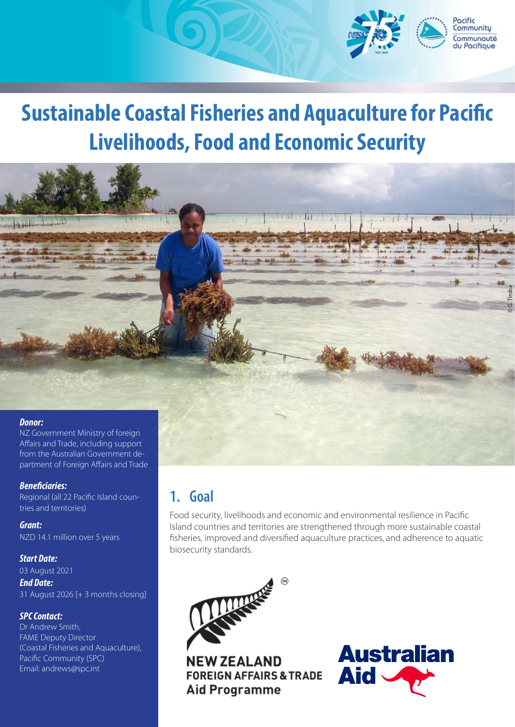

# **Sustainable Coastal Fisheries and Aquaculture for Pacific Livelihoods, Food and Economic Security**



NZ Government Ministry of foreign Affairs and Trade, including support from the Australian Government department of Foreign Affairs and Trade

*Beneficiaries:* Regional (all 22 Pacific Island countries and territories)

*Grant:*  NZD 14.1 million over 5 years

*Start Date:*

03 August 2021 *End Date:*  31 August 2026 [+ 3 months closing]

### *SPC Contact:*

Dr Andrew Smith, FAME Deputy Director (Coastal Fisheries and Aquaculture), Pacific Community (SPC) Email: andrews@spc.int

# **1. Goal**

Food security, livelihoods and economic and environmental resilience in Pacific Island countries and territories are strengthened through more sustainable coastal fisheries, improved and diversified aquaculture practices, and adherence to aquatic biosecurity standards.



**NEW ZEALAND FOREIGN AFFAIRS & TRADE Aid Programme** 

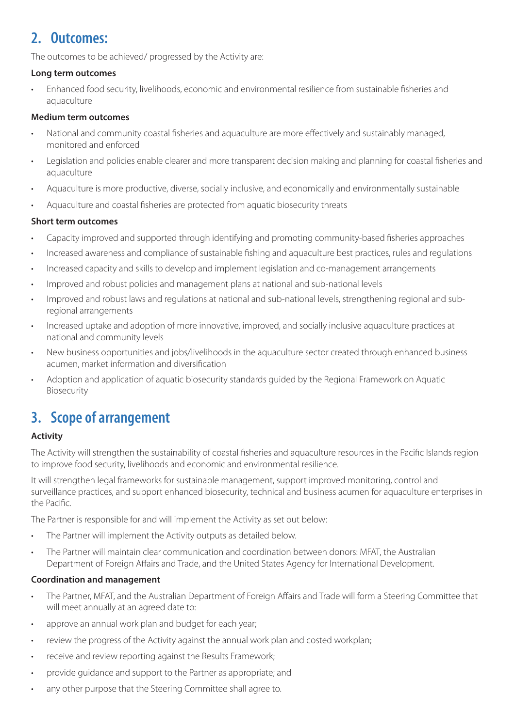## **2. Outcomes:**

The outcomes to be achieved/ progressed by the Activity are:

### **Long term outcomes**

• Enhanced food security, livelihoods, economic and environmental resilience from sustainable fisheries and aquaculture

### **Medium term outcomes**

- National and community coastal fisheries and aquaculture are more effectively and sustainably managed, monitored and enforced
- Legislation and policies enable clearer and more transparent decision making and planning for coastal fisheries and aquaculture
- Aquaculture is more productive, diverse, socially inclusive, and economically and environmentally sustainable
- Aquaculture and coastal fisheries are protected from aquatic biosecurity threats

### **Short term outcomes**

- Capacity improved and supported through identifying and promoting community-based fisheries approaches
- Increased awareness and compliance of sustainable fishing and aquaculture best practices, rules and regulations
- Increased capacity and skills to develop and implement legislation and co-management arrangements
- Improved and robust policies and management plans at national and sub-national levels
- Improved and robust laws and regulations at national and sub-national levels, strengthening regional and subregional arrangements
- Increased uptake and adoption of more innovative, improved, and socially inclusive aquaculture practices at national and community levels
- New business opportunities and jobs/livelihoods in the aquaculture sector created through enhanced business acumen, market information and diversification
- Adoption and application of aquatic biosecurity standards guided by the Regional Framework on Aquatic Biosecurity

# **3. Scope of arrangement**

### **Activity**

The Activity will strengthen the sustainability of coastal fisheries and aquaculture resources in the Pacific Islands region to improve food security, livelihoods and economic and environmental resilience.

It will strengthen legal frameworks for sustainable management, support improved monitoring, control and surveillance practices, and support enhanced biosecurity, technical and business acumen for aquaculture enterprises in the Pacific.

The Partner is responsible for and will implement the Activity as set out below:

- The Partner will implement the Activity outputs as detailed below.
- The Partner will maintain clear communication and coordination between donors: MFAT, the Australian Department of Foreign Affairs and Trade, and the United States Agency for International Development.

### **Coordination and management**

- The Partner, MFAT, and the Australian Department of Foreign Affairs and Trade will form a Steering Committee that will meet annually at an agreed date to:
- approve an annual work plan and budget for each year;
- review the progress of the Activity against the annual work plan and costed workplan;
- receive and review reporting against the Results Framework;
- provide guidance and support to the Partner as appropriate; and
- any other purpose that the Steering Committee shall agree to.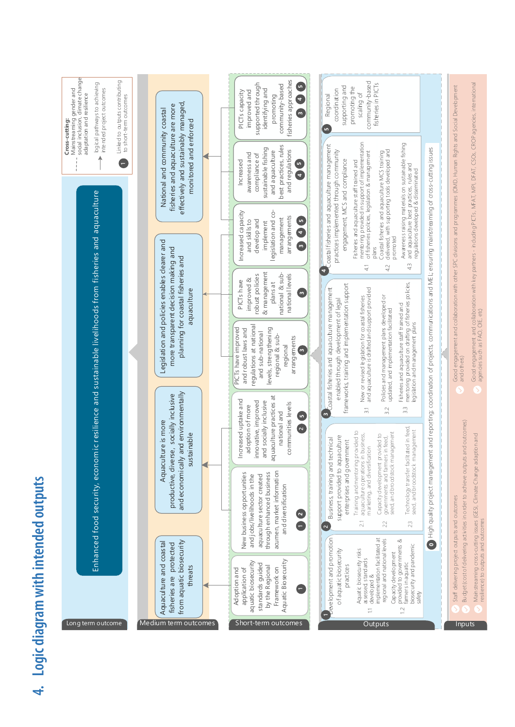

# 4. Logic diagram with intended outputs **4. Logic diagram with intended outputs**